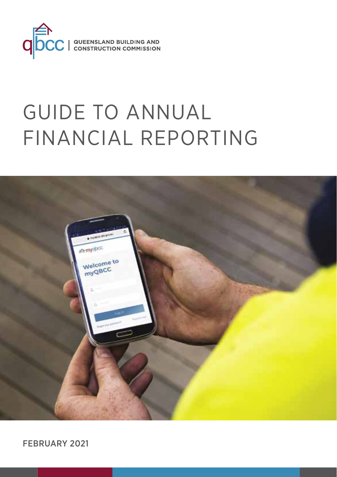

# GUIDE TO ANNUAL FINANCIAL REPORTING



FEBRUARY 2021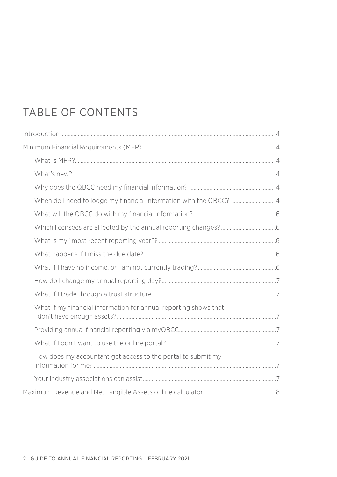# TABLE OF CONTENTS

| When do I need to lodge my financial information with the QBCC?  4 |  |
|--------------------------------------------------------------------|--|
|                                                                    |  |
|                                                                    |  |
|                                                                    |  |
|                                                                    |  |
|                                                                    |  |
|                                                                    |  |
|                                                                    |  |
| What if my financial information for annual reporting shows that   |  |
|                                                                    |  |
|                                                                    |  |
| How does my accountant get access to the portal to submit my       |  |
|                                                                    |  |
|                                                                    |  |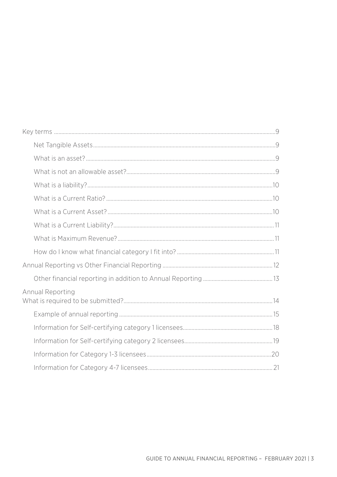| Annual Reporting |  |
|------------------|--|
|                  |  |
|                  |  |
|                  |  |
|                  |  |
|                  |  |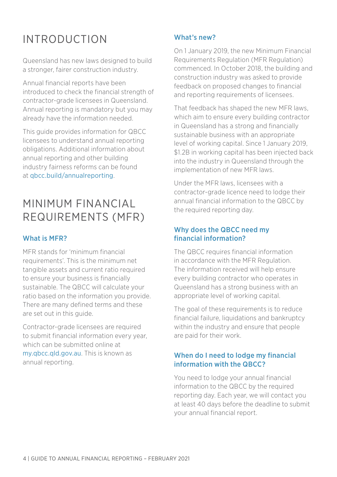# INTRODUCTION

Queensland has new laws designed to build a stronger, fairer construction industry.

Annual financial reports have been introduced to check the financial strength of contractor-grade licensees in Queensland. Annual reporting is mandatory but you may already have the information needed.

This guide provides information for QBCC licensees to understand annual reporting obligations. Additional information about annual reporting and other building industry fairness reforms can be found at qbcc.build/annualreporting.

# MINIMUM FINANCIAL REQUIREMENTS (MFR)

### What is MFR?

MFR stands for 'minimum financial requirements'. This is the minimum net tangible assets and current ratio required to ensure your business is financially sustainable. The QBCC will calculate your ratio based on the information you provide. There are many defined terms and these are set out in this guide.

Contractor-grade licensees are required to submit financial information every year, which can be submitted online at my.qbcc.qld.gov.au. This is known as annual reporting.

#### What's new?

On 1 January 2019, the new Minimum Financial Requirements Regulation (MFR Regulation) commenced. In October 2018, the building and construction industry was asked to provide feedback on proposed changes to financial and reporting requirements of licensees.

That feedback has shaped the new MFR laws, which aim to ensure every building contractor in Queensland has a strong and financially sustainable business with an appropriate level of working capital. Since 1 January 2019, \$1.2B in working capital has been injected back into the industry in Queensland through the implementation of new MFR laws.

Under the MFR laws, licensees with a contractor-grade licence need to lodge their annual financial information to the QBCC by the required reporting day.

#### Why does the QBCC need my financial information?

The QBCC requires financial information in accordance with the MFR Regulation. The information received will help ensure every building contractor who operates in Queensland has a strong business with an appropriate level of working capital.

The goal of these requirements is to reduce financial failure, liquidations and bankruptcy within the industry and ensure that people are paid for their work.

#### When do I need to lodge my financial information with the QBCC?

You need to lodge your annual financial information to the QBCC by the required reporting day. Each year, we will contact you at least 40 days before the deadline to submit your annual financial report.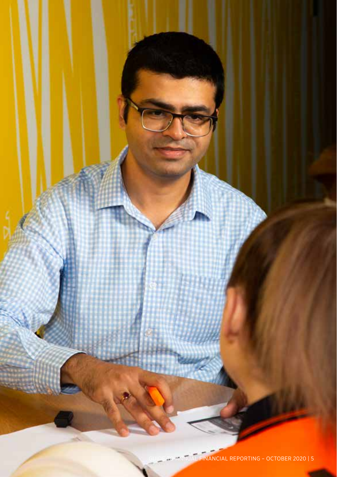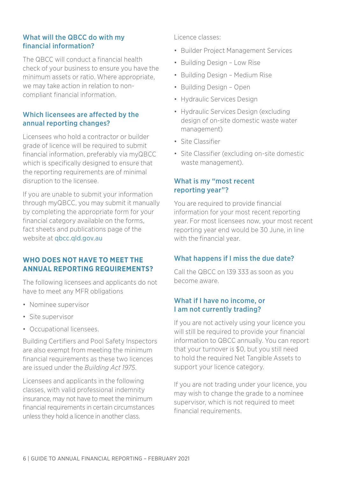#### What will the QBCC do with my financial information?

The QBCC will conduct a financial health check of your business to ensure you have the minimum assets or ratio. Where appropriate we may take action in relation to noncompliant financial information.

#### Which licensees are affected by the annual reporting changes?

Licensees who hold a contractor or builder grade of licence will be required to submit financial information, preferably via myQBCC which is specifically designed to ensure that the reporting requirements are of minimal disruption to the licensee.

If you are unable to submit your information through myQBCC, you may submit it manually by completing the appropriate form for your financial category available on the forms, fact sheets and publications page of the website at qbcc.qld.gov.au

#### **WHO DOES NOT HAVE TO MEET THE ANNUAL REPORTING REQUIREMENTS?**

The following licensees and applicants do not have to meet any MFR obligations

- Nominee supervisor
- Site supervisor
- Occupational licensees.

Building Certifiers and Pool Safety Inspectors are also exempt from meeting the minimum financial requirements as these two licences are issued under the *Building Act 1975*.

Licensees and applicants in the following classes, with valid professional indemnity insurance, may not have to meet the minimum financial requirements in certain circumstances unless they hold a licence in another class.

Licence classes:

- Builder Project Management Services
- Building Design Low Rise
- Building Design Medium Rise
- Building Design Open
- Hydraulic Services Design
- Hydraulic Services Design (excluding design of on-site domestic waste water management)
- Site Classifier
- Site Classifier (excluding on-site domestic waste management).

#### What is my "most recent reporting year"?

You are required to provide financial information for your most recent reporting year. For most licensees now, your most recent reporting year end would be 30 June, in line with the financial year.

#### What happens if I miss the due date?

Call the QBCC on 139 333 as soon as you become aware.

#### What if I have no income, or I am not currently trading?

If you are not actively using your licence you will still be required to provide your financial information to QBCC annually. You can report that your turnover is \$0, but you still need to hold the required Net Tangible Assets to support your licence category.

If you are not trading under your licence, you may wish to change the grade to a nominee supervisor, which is not required to meet financial requirements.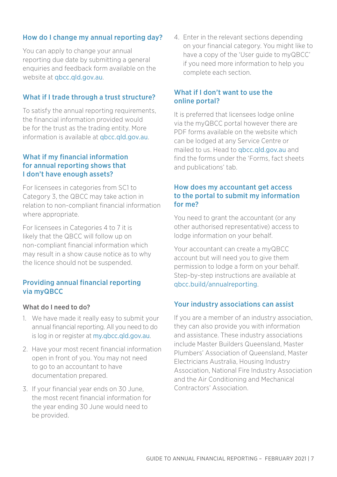#### How do I change my annual reporting day?

You can apply to change your annual reporting due date by submitting a general enquiries and feedback form available on the website at qbcc.qld.gov.au.

#### What if I trade through a trust structure?

To satisfy the annual reporting requirements, the financial information provided would be for the trust as the trading entity. More information is available at **gbcc.gld.gov.au.** 

#### What if my financial information for annual reporting shows that I don't have enough assets?

For licensees in categories from SC1 to Category 3, the QBCC may take action in relation to non-compliant financial information where appropriate.

For licensees in Categories 4 to 7 it is likely that the QBCC will follow up on non-compliant financial information which may result in a show cause notice as to why the licence should not be suspended.

#### Providing annual financial reporting via myQBCC

#### What do I need to do?

- 1. We have made it really easy to submit your annual financial reporting. All you need to do is log in or register at my.qbcc.qld.gov.au.
- 2. Have your most recent financial information open in front of you. You may not need to go to an accountant to have documentation prepared.
- 3. If your financial year ends on 30 June, the most recent financial information for the year ending 30 June would need to be provided.

4. Enter in the relevant sections depending on your financial category. You might like to have a copy of the 'User guide to myQBCC' if you need more information to help you complete each section.

#### What if I don't want to use the online portal?

It is preferred that licensees lodge online via the myQBCC portal however there are PDF forms available on the website which can be lodged at any Service Centre or mailed to us. Head to qbcc.qld.gov.au and find the forms under the 'Forms, fact sheets and publications' tab.

#### How does my accountant get access to the portal to submit my information for me?

You need to grant the accountant (or any other authorised representative) access to lodge information on your behalf.

Your accountant can create a myQBCC account but will need you to give them permission to lodge a form on your behalf. Step-by-step instructions are available at qbcc.build/annualreporting.

#### Your industry associations can assist

If you are a member of an industry association, they can also provide you with information and assistance. These industry associations include Master Builders Queensland, Master Plumbers' Association of Queensland, Master Electricians Australia, Housing Industry Association, National Fire Industry Association and the Air Conditioning and Mechanical Contractors' Association.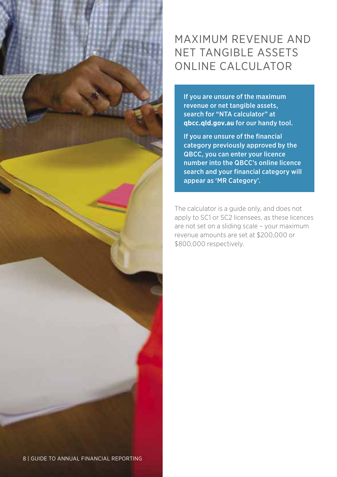

### MAXIMUM REVENUE AND NET TANGIBLE ASSETS ONLINE CALCULATOR

If you are unsure of the maximum revenue or net tangible assets, search for "NTA calculator" at **qbcc.qld.gov.au** for our handy tool.

If you are unsure of the financial category previously approved by the QBCC, you can enter your licence number into the QBCC's online licence search and your financial category will appear as 'MR Category'.

The calculator is a guide only, and does not apply to SC1 or SC2 licensees, as these licences are not set on a sliding scale – your maximum revenue amounts are set at \$200,000 or \$800,000 respectively.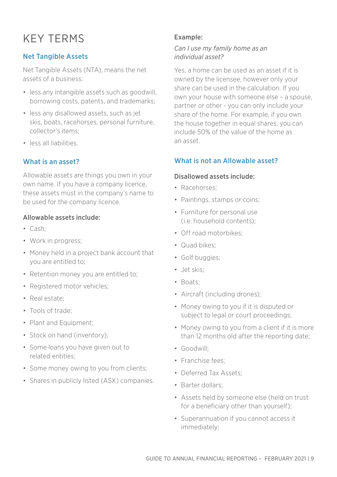# KEY TERMS

### Net Tangible Assets

Net Tangible Assets (NTA), means the net assets of a business:

- less any intangible assets such as goodwill, borrowing costs, patents, and trademarks;
- less any disallowed assets, such as jet skis, boats, racehorses, personal furniture, collector's items;
- less all liabilities.

#### What is an asset?

Allowable assets are things you own in your own name. If you have a company licence, these assets must in the company's name to be used for the company licence.

#### Allowable assets include:

- Cash;
- Work in progress;
- Money held in a project bank account that you are entitled to;
- Retention money you are entitled to;
- Registered motor vehicles;
- Real estate;
- Tools of trade;
- Plant and Equipment:
- Stock on hand (inventory);
- Some loans you have given out to related entities;
- Some money owing to you from clients;
- Shares in publicly listed (ASX) companies.

#### Example:

#### *Can I use my family home as an individual asset?*

Yes, a home can be used as an asset if it is owned by the licensee, however only your share can be used in the calculation. If you own your house with someone else – a spouse, partner or other - you can only include your share of the home. For example, if you own the house together in equal shares, you can include 50% of the value of the home as an asset.

#### What is not an Allowable asset?

#### Disallowed assets include:

- Racehorses;
- Paintings, stamps or coins;
- Furniture for personal use (i.e. household contents);
- Off road motorbikes;
- Quad bikes;
- Golf buggies;
- Jet skis;
- Boats;
- Aircraft (including drones);
- Money owing to you if it is disputed or subject to legal or court proceedings;
- Money owing to you from a client if it is more than 12 months old after the reporting date;
- Goodwill;
- Franchise fees:
- Deferred Tax Assets;
- Barter dollars;
- Assets held by someone else (held on trust for a beneficiary other than yourself);
- Superannuation if you cannot access it immediately;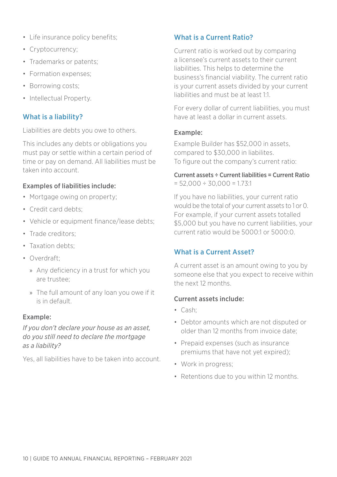- Life insurance policy benefits;
- Cryptocurrency;
- Trademarks or patents;
- Formation expenses;
- Borrowing costs;
- Intellectual Property.

#### What is a liability?

Liabilities are debts you owe to others.

This includes any debts or obligations you must pay or settle within a certain period of time or pay on demand. All liabilities must be taken into account.

#### Examples of liabilities include:

- Mortgage owing on property;
- Credit card debts;
- Vehicle or equipment finance/lease debts;
- Trade creditors;
- Taxation debts:
- Overdraft<sup>;</sup>
	- » Any deficiency in a trust for which you are trustee;
	- » The full amount of any loan you owe if it is in default.

#### Example:

#### *If you don't declare your house as an asset, do you still need to declare the mortgage as a liability?*

Yes, all liabilities have to be taken into account.

#### What is a Current Ratio?

Current ratio is worked out by comparing a licensee's current assets to their current liabilities. This helps to determine the business's financial viability. The current ratio is your current assets divided by your current liabilities and must be at least 1:1.

For every dollar of current liabilities, you must have at least a dollar in current assets.

#### Example:

Example Builder has \$52,000 in assets, compared to \$30,000 in liabilites. To figure out the company's current ratio:

#### Current assets ÷ Current liabilities = Current Ratio  $= 52,000 \div 30,000 = 1.73:1$

If you have no liabilities, your current ratio would be the total of your current assets to 1 or 0. For example, if your current assets totalled \$5,000 but you have no current liabilities, your current ratio would be 5000:1 or 5000:0.

#### What is a Current Asset?

A current asset is an amount owing to you by someone else that you expect to receive within the next 12 months.

#### Current assets include:

- Cash;
- Debtor amounts which are not disputed or older than 12 months from invoice date;
- Prepaid expenses (such as insurance premiums that have not yet expired);
- Work in progress;
- Retentions due to you within 12 months.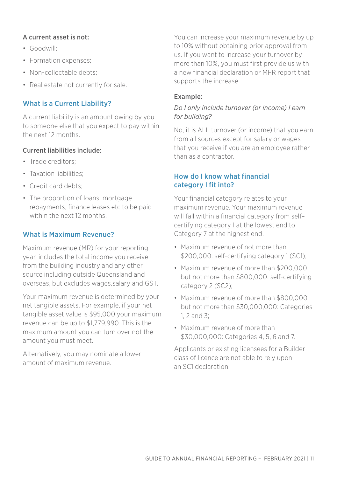#### A current asset is not:

- Goodwill;
- Formation expenses;
- Non-collectable debts;
- Real estate not currently for sale.

#### What is a Current Liability?

A current liability is an amount owing by you to someone else that you expect to pay within the next 12 months.

#### Current liabilities include:

- Trade creditors;
- Taxation liabilities;
- Credit card debts;
- The proportion of loans, mortgage repayments, finance leases etc to be paid within the next 12 months

#### What is Maximum Revenue?

Maximum revenue (MR) for your reporting year, includes the total income you receive from the building industry and any other source including outside Queensland and overseas, but excludes wages,salary and GST.

Your maximum revenue is determined by your net tangible assets. For example, if your net tangible asset value is \$95,000 your maximum revenue can be up to \$1,779,990. This is the maximum amount you can turn over not the amount you must meet.

Alternatively, you may nominate a lower amount of maximum revenue.

You can increase your maximum revenue by up to 10% without obtaining prior approval from us. If you want to increase your turnover by more than 10%, you must first provide us with a new financial declaration or MFR report that supports the increase.

#### Example:

#### *Do I only include turnover (or income) I earn for building?*

No, it is ALL turnover (or income) that you earn from all sources except for salary or wages that you receive if you are an employee rather than as a contractor.

#### How do I know what financial category I fit into?

Your financial category relates to your maximum revenue. Your maximum revenue will fall within a financial category from self– certifying category 1 at the lowest end to Category 7 at the highest end.

- Maximum revenue of not more than \$200,000: self-certifying category 1 (SC1);
- Maximum revenue of more than \$200,000 but not more than \$800,000: self-certifying category 2 (SC2);
- Maximum revenue of more than \$800,000 but not more than \$30,000,000: Categories 1, 2 and 3;
- Maximum revenue of more than \$30,000,000: Categories 4, 5, 6 and 7.

Applicants or existing licensees for a Builder class of licence are not able to rely upon an SC1 declaration.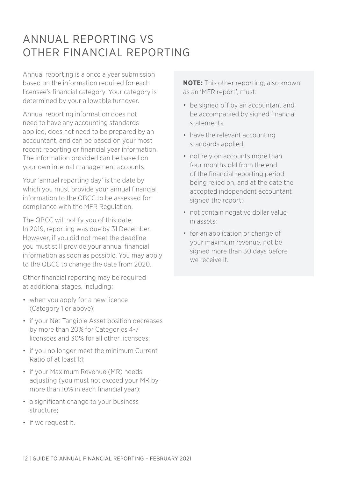## ANNUAL REPORTING VS OTHER FINANCIAL REPORTING

Annual reporting is a once a year submission based on the information required for each licensee's financial category. Your category is determined by your allowable turnover.

Annual reporting information does not need to have any accounting standards applied, does not need to be prepared by an accountant, and can be based on your most recent reporting or financial year information. The information provided can be based on your own internal management accounts.

Your 'annual reporting day' is the date by which you must provide your annual financial information to the QBCC to be assessed for compliance with the MFR Regulation.

The QBCC will notify you of this date. In 2019, reporting was due by 31 December. However, if you did not meet the deadline you must still provide your annual financial information as soon as possible. You may apply to the QBCC to change the date from 2020.

Other financial reporting may be required at additional stages, including:

- when you apply for a new licence (Category 1 or above);
- if your Net Tangible Asset position decreases by more than 20% for Categories 4-7 licensees and 30% for all other licensees;
- if you no longer meet the minimum Current Ratio of at least 1:1;
- if your Maximum Revenue (MR) needs adjusting (you must not exceed your MR by more than 10% in each financial year);
- a significant change to your business structure;
- if we request it.

**NOTE:** This other reporting, also known as an 'MFR report', must:

- be signed off by an accountant and be accompanied by signed financial statements;
- have the relevant accounting standards applied;
- not rely on accounts more than four months old from the end of the financial reporting period being relied on, and at the date the accepted independent accountant signed the report;
- not contain negative dollar value in assets;
- for an application or change of your maximum revenue, not be signed more than 30 days before we receive it.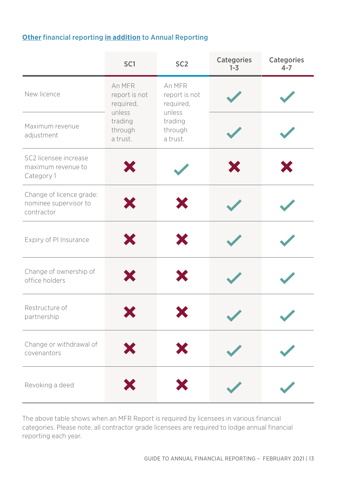### **Other** financial reporting **in addition** to Annual Reporting

|                                                                 | SC <sub>1</sub>                                                                  | SC <sub>2</sub>                                | Categories<br>$1 - 3$ | Categories<br>$4 - 7$ |
|-----------------------------------------------------------------|----------------------------------------------------------------------------------|------------------------------------------------|-----------------------|-----------------------|
| New licence                                                     | An MFR<br>report is not<br>required,<br>unless<br>trading<br>through<br>a trust. | An MFR<br>report is not<br>required,<br>unless |                       |                       |
| Maximum revenue<br>adjustment                                   |                                                                                  | trading<br>through<br>a trust.                 |                       |                       |
| SC2 licensee increase<br>maximum revenue to<br>Category 1       | X                                                                                |                                                | X                     | X                     |
| Change of licence grade:<br>nominee supervisor to<br>contractor | X                                                                                | K                                              |                       |                       |
| Expiry of PI Insurance                                          | X                                                                                | X                                              |                       |                       |
| Change of ownership of<br>office holders                        | Х                                                                                | X                                              |                       |                       |
| Restructure of<br>partnership                                   | X                                                                                |                                                |                       |                       |
| Change or withdrawal of<br>covenantors                          | X                                                                                |                                                |                       |                       |
| Revoking a deed                                                 |                                                                                  |                                                |                       |                       |

The above table shows when an MFR Report is required by licensees in various financial categories. Please note, all contractor grade licensees are required to lodge annual financial reporting each year.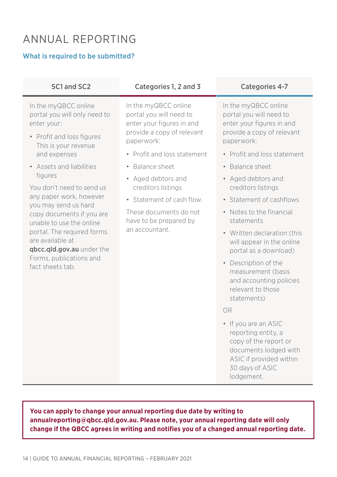# ANNUAL REPORTING

#### What is required to be submitted?

| SC1 and SC2                                                                                                                                                                                                                                                                                                | Categories 1, 2 and 3                                                                                                    | <b>Categories 4-7</b>                                                                                                                                     |
|------------------------------------------------------------------------------------------------------------------------------------------------------------------------------------------------------------------------------------------------------------------------------------------------------------|--------------------------------------------------------------------------------------------------------------------------|-----------------------------------------------------------------------------------------------------------------------------------------------------------|
| In the myQBCC online<br>portal you will only need to<br>enter your:<br>• Profit and loss figures<br>This is your revenue                                                                                                                                                                                   | In the myQBCC online<br>portal you will need to<br>enter your figures in and<br>provide a copy of relevant<br>paperwork: | In the myQBCC online<br>portal you will need to<br>enter your figures in and<br>provide a copy of relevant<br>paperwork:                                  |
| and expenses                                                                                                                                                                                                                                                                                               | • Profit and loss statement                                                                                              | • Profit and loss statement                                                                                                                               |
| • Assets and liabilities<br>figures<br>You don't need to send us<br>any paper work, however<br>you may send us hard<br>copy documents if you are<br>unable to use the online<br>portal. The required forms<br>are available at<br>gbcc.gld.gov.au under the<br>Forms, publications and<br>fact sheets tab. | Balance sheet<br>$\bullet$                                                                                               | • Balance sheet                                                                                                                                           |
|                                                                                                                                                                                                                                                                                                            | • Aged debtors and<br>creditors listings                                                                                 | • Aged debtors and<br>creditors listings                                                                                                                  |
|                                                                                                                                                                                                                                                                                                            | • Statement of cash flow.                                                                                                | • Statement of cashflows                                                                                                                                  |
|                                                                                                                                                                                                                                                                                                            | These documents do not<br>have to be prepared by<br>an accountant.                                                       | • Notes to the financial<br>statements                                                                                                                    |
|                                                                                                                                                                                                                                                                                                            |                                                                                                                          | • Written declaration (this<br>will appear in the online<br>portal as a download)                                                                         |
|                                                                                                                                                                                                                                                                                                            |                                                                                                                          | • Description of the<br>measurement (basis<br>and accounting policies<br>relevant to those<br>statements)                                                 |
|                                                                                                                                                                                                                                                                                                            |                                                                                                                          | 0 <sub>R</sub>                                                                                                                                            |
|                                                                                                                                                                                                                                                                                                            |                                                                                                                          | • If you are an ASIC<br>reporting entity, a<br>copy of the report or<br>documents lodged with<br>ASIC if provided within<br>30 days of ASIC<br>lodgement. |

#### **You can apply to change your annual reporting due date by writing to annualreporting@qbcc.qld.gov.au. Please note, your annual reporting date will only change if the QBCC agrees in writing and notifies you of a changed annual reporting date.**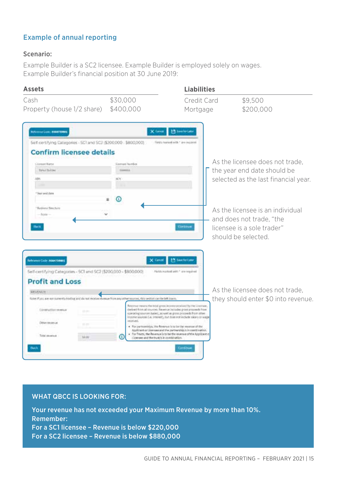#### Example of annual reporting

#### Scenario:

Example Builder is a SC2 licensee. Example Builder is employed solely on wages. Example Builder's financial position at 30 June 2019:



#### WHAT QBCC IS LOOKING FOR:

Your revenue has not exceeded your Maximum Revenue by more than 10%. Remember: For a SC1 licensee – Revenue is below \$220,000 For a SC2 licensee – Revenue is below \$880,000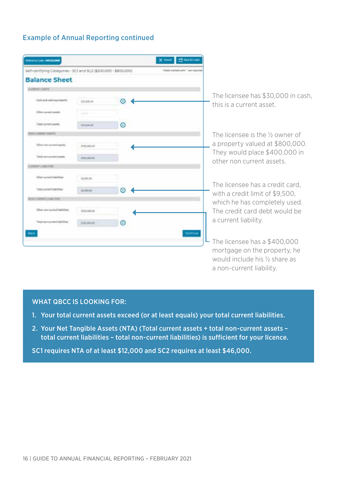#### Example of Annual Reporting continued

| viar Code i <del>and Lesson</del>                                |                |          | <b>Fift</b> New forces           |                                                                                                                            |
|------------------------------------------------------------------|----------------|----------|----------------------------------|----------------------------------------------------------------------------------------------------------------------------|
| Self-certifying Categories - SCI and SCI (\$200.000 - \$800.000) |                |          | Feddin mached with 1 are require |                                                                                                                            |
| <b>Balance Sheet</b>                                             |                |          |                                  |                                                                                                                            |
| <b>REAR AGOSTS</b>                                               |                |          |                                  |                                                                                                                            |
| Pacificants start and continuintation                            | 135,006.09     |          |                                  | The licensee has \$30,000 in cash.<br>this is a current asset                                                              |
| (Wise corrent scorts)                                            |                |          |                                  |                                                                                                                            |
| Tubbat currents assemb-                                          | distantant     | $^\circ$ |                                  |                                                                                                                            |
| CURRENT ASSISTS                                                  |                |          |                                  | The licensee is the 1/2 owner of                                                                                           |
| Diffuse many contracts senate                                    | 1400,000.00    |          |                                  | a property valued at \$800,000.                                                                                            |
| Tuttal recomments assets.                                        | 1410, 011, 012 |          |                                  | They would place \$400,000 in<br>other non current assets                                                                  |
| <b><i>ENTERNATION</i></b>                                        |                |          |                                  |                                                                                                                            |
| Driver corrent beliefsheet                                       | 19.500.00      |          |                                  |                                                                                                                            |
| Turket currient baserman                                         | 19,860,000     | ο        |                                  | The licensee has a credit card.                                                                                            |
| URBATLABUTEE                                                     |                |          |                                  | with a credit limit of \$9,500.<br>which he has completely used.                                                           |
| <b>Street man during of Sadditions</b>                           |                |          |                                  | The credit card debt would be                                                                                              |
| Tuitat issin comment flatellites                                 | EDIGANISM      | $\circ$  |                                  | a current liability.                                                                                                       |
|                                                                  |                |          | Continue                         |                                                                                                                            |
|                                                                  |                |          |                                  | The licensee has a \$400,000<br>mortgage on the property, he<br>would include his 1/2 share as<br>a non-current liability. |

#### WHAT QBCC IS LOOKING FOR:

- 1. Your total current assets exceed (or at least equals) your total current liabilities.
- 2. Your Net Tangible Assets (NTA) (Total current assets + total non-current assets total current liabilities – total non-current liabilities) is sufficient for your licence.

SC1 requires NTA of at least \$12,000 and SC2 requires at least \$46,000.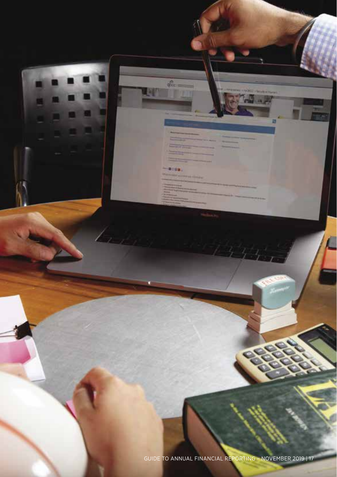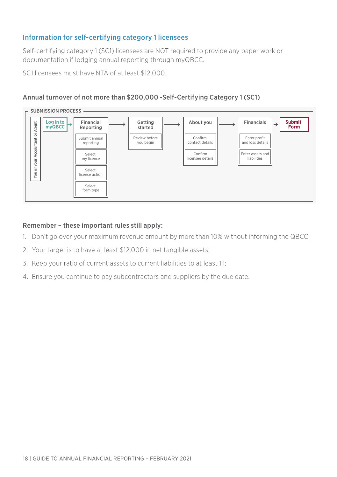#### Information for self-certifying category 1 licensees

Self-certifying category 1 (SC1) licensees are NOT required to provide any paper work or documentation if lodging annual reporting through myQBCC.

SC1 licensees must have NTA of at least \$12,000.

### Annual turnover of not more than \$200,000 -Self-Certifying Category 1 (SC1)



- 1. Don't go over your maximum revenue amount by more than 10% without informing the QBCC;
- 2. Your target is to have at least \$12,000 in net tangible assets;
- 3. Keep your ratio of current assets to current liabilities to at least 1:1;
- 4. Ensure you continue to pay subcontractors and suppliers by the due date.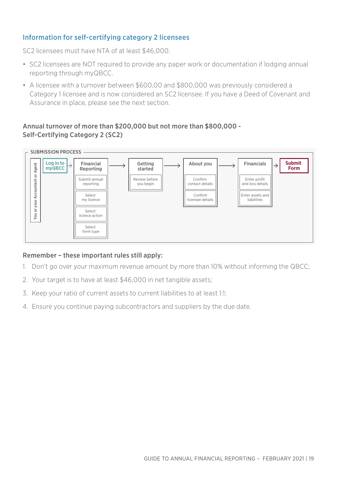#### Information for self-certifying category 2 licensees

SC2 licensees must have NTA of at least \$46,000.

- SC2 licensees are NOT required to provide any paper work or documentation if lodging annual reporting through myQBCC.
- A licensee with a turnover between \$600,00 and \$800,000 was previously considered a Category 1 licensee and is now considered an SC2 licensee. If you have a Deed of Covenant and Assurance in place, please see the next section.

#### Annual turnover of more than \$200,000 but not more than \$800,000 - Self-Certifying Category 2 (SC2)



- 1. Don't go over your maximum revenue amount by more than 10% without informing the QBCC;
- 2. Your target is to have at least \$46,000 in net tangible assets;
- 3. Keep your ratio of current assets to current liabilities to at least 1:1;
- 4. Ensure you continue paying subcontractors and suppliers by the due date.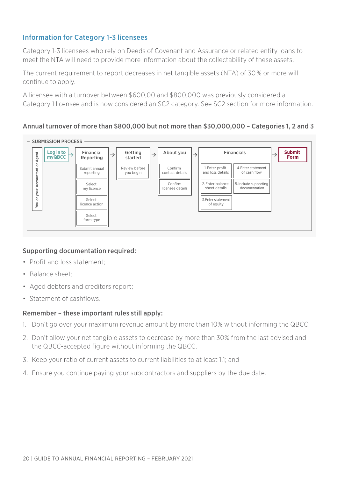#### Information for Category 1-3 licensees

Category 1-3 licensees who rely on Deeds of Covenant and Assurance or related entity loans to meet the NTA will need to provide more information about the collectability of these assets.

The current requirement to report decreases in net tangible assets (NTA) of 30 % or more will continue to apply.

A licensee with a turnover between \$600,00 and \$800,000 was previously considered a Category 1 licensee and is now considered an SC2 category. See SC2 section for more information.

#### Annual turnover of more than \$800,000 but not more than \$30,000,000 – Categories 1, 2 and 3



#### Supporting documentation required:

- Profit and loss statement;
- Balance sheet:
- Aged debtors and creditors report;
- Statement of cashflows.

- 1. Don't go over your maximum revenue amount by more than 10% without informing the QBCC;
- 2. Don't allow your net tangible assets to decrease by more than 30% from the last advised and the QBCC-accepted figure without informing the QBCC.
- 3. Keep your ratio of current assets to current liabilities to at least 1.1; and
- 4. Ensure you continue paying your subcontractors and suppliers by the due date.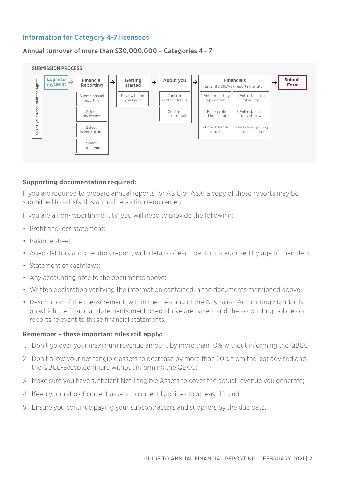#### Information for Category 4-7 licensees

Annual turnover of more than \$30,000,000 – Categories 4 - 7



#### Supporting documentation required:

If you are required to prepare annual reports for ASIC or ASX, a copy of these reports may be submitted to satisfy this annual reporting requirement.

If you are a non-reporting entity, you will need to provide the following:

- Profit and loss statement;
- Balance sheet:
- Aged debtors and creditors report, with details of each debtor categorised by age of their debt;
- Statement of cashflows;
- Any accounting note to the documents above;
- Written declaration verifying the information contained in the documents mentioned above;
- Description of the measurement, within the meaning of the Australian Accounting Standards, on which the financial statements mentioned above are based, and the accounting policies or reports relevant to those financial statements.

- 1. Don't go over your maximum revenue amount by more than 10% without informing the QBCC;
- 2. Don't allow your net tangible assets to decrease by more than 20% from the last advised and the QBCC-accepted figure without informing the QBCC;
- 3. Make sure you have sufficient Net Tangible Assets to cover the actual revenue you generate;
- 4. Keep your ratio of current assets to current liabilities to at least 1.1; and
- 5. Ensure you continue paying your subcontractors and suppliers by the due date.